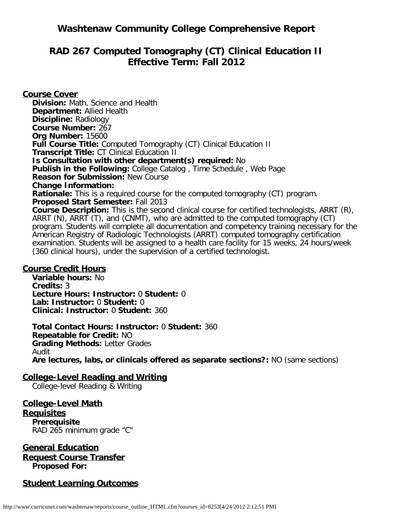## **Washtenaw Community College Comprehensive Report**

# **RAD 267 Computed Tomography (CT) Clinical Education II Effective Term: Fall 2012**

**Course Cover Division:** Math, Science and Health **Department:** Allied Health **Discipline:** Radiology **Course Number:** 267 **Org Number:** 15600 **Full Course Title:** Computed Tomography (CT) Clinical Education II **Transcript Title:** CT Clinical Education II **Is Consultation with other department(s) required:** No **Publish in the Following:** College Catalog , Time Schedule , Web Page **Reason for Submission:** New Course **Change Information: Rationale:** This is a required course for the computed tomography (CT) program. **Proposed Start Semester:** Fall 2013 **Course Description:** This is the second clinical course for certified technologists, ARRT (R), ARRT (N), ARRT (T), and (CNMT), who are admitted to the computed tomography (CT) program. Students will complete all documentation and competency training necessary for the American Registry of Radiologic Technologists (ARRT) computed tomography certification examination. Students will be assigned to a health care facility for 15 weeks, 24 hours/week (360 clinical hours), under the supervision of a certified technologist.

#### **Course Credit Hours**

**Variable hours:** No **Credits:** 3 **Lecture Hours: Instructor:** 0 **Student:** 0 **Lab: Instructor:** 0 **Student:** 0 **Clinical: Instructor:** 0 **Student:** 360

**Total Contact Hours: Instructor:** 0 **Student:** 360 **Repeatable for Credit:** NO **Grading Methods:** Letter Grades Audit **Are lectures, labs, or clinicals offered as separate sections?:** NO (same sections)

## **College-Level Reading and Writing**

College-level Reading & Writing

**College-Level Math Requisites Prerequisite** RAD 265 minimum grade "C"

**General Education Request Course Transfer Proposed For:**

## **Student Learning Outcomes**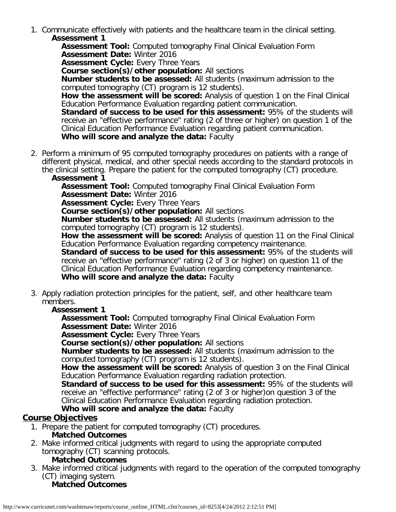1. Communicate effectively with patients and the healthcare team in the clinical setting. **Assessment 1**

**Assessment Tool:** Computed tomography Final Clinical Evaluation Form **Assessment Date:** Winter 2016

**Assessment Cycle:** Every Three Years

**Course section(s)/other population:** All sections

**Number students to be assessed:** All students (maximum admission to the computed tomography (CT) program is 12 students).

**How the assessment will be scored:** Analysis of question 1 on the Final Clinical Education Performance Evaluation regarding patient communication.

**Standard of success to be used for this assessment: 95% of the students will** receive an "effective performance" rating (2 of three or higher) on question 1 of the Clinical Education Performance Evaluation regarding patient communication. **Who will score and analyze the data:** Faculty

2. Perform a minimum of 95 computed tomography procedures on patients with a range of different physical, medical, and other special needs according to the standard protocols in the clinical setting. Prepare the patient for the computed tomography (CT) procedure.

#### **Assessment 1**

**Assessment Tool:** Computed tomography Final Clinical Evaluation Form **Assessment Date:** Winter 2016

**Assessment Cycle: Every Three Years** 

**Course section(s)/other population:** All sections

**Number students to be assessed:** All students (maximum admission to the computed tomography (CT) program is 12 students).

**How the assessment will be scored:** Analysis of question 11 on the Final Clinical Education Performance Evaluation regarding competency maintenance.

**Standard of success to be used for this assessment:** 95% of the students will receive an "effective performance" rating (2 of 3 or higher) on question 11 of the Clinical Education Performance Evaluation regarding competency maintenance. **Who will score and analyze the data:** Faculty

3. Apply radiation protection principles for the patient, self, and other healthcare team members.

## **Assessment 1**

**Assessment Tool:** Computed tomography Final Clinical Evaluation Form **Assessment Date:** Winter 2016

**Assessment Cycle: Every Three Years** 

**Course section(s)/other population:** All sections

**Number students to be assessed:** All students (maximum admission to the computed tomography (CT) program is 12 students).

**How the assessment will be scored:** Analysis of question 3 on the Final Clinical Education Performance Evaluation regarding radiation protection.

**Standard of success to be used for this assessment:** 95% of the students will receive an "effective performance" rating (2 of 3 or higher)on question 3 of the Clinical Education Performance Evaluation regarding radiation protection.

## **Who will score and analyze the data:** Faculty

## **Course Objectives**

1. Prepare the patient for computed tomography (CT) procedures.

## **Matched Outcomes**

2. Make informed critical judgments with regard to using the appropriate computed tomography (CT) scanning protocols.

#### **Matched Outcomes**

3. Make informed critical judgments with regard to the operation of the computed tomography (CT) imaging system. **Matched Outcomes**